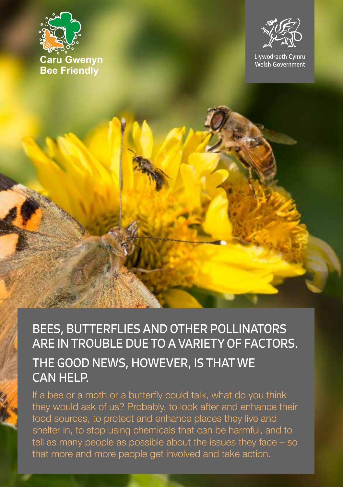

**Bee Friendly**

Llywodraeth Cymru Welsh Government

BEES, BUTTERFLIES AND OTHER POLLINATORS ARE IN TROUBLE DUE TO A VARIETY OF FACTORS. THE GOOD NEWS, HOWEVER, IS THAT WE CAN HELP.

If a bee or a moth or a butterfly could talk, what do you think they would ask of us? Probably, to look after and enhance their food sources, to protect and enhance places they live and shelter in, to stop using chemicals that can be harmful, and to tell as many people as possible about the issues they face – so that more and more people get involved and take action.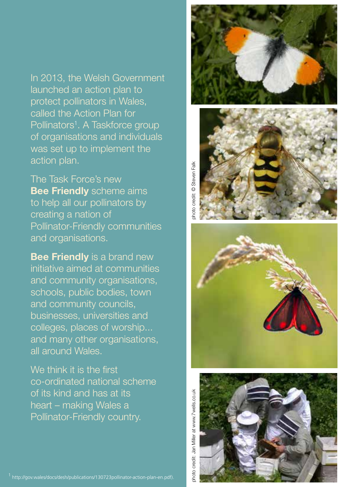In 2013, the Welsh Government launched an action plan to protect pollinators in Wales, called the Action Plan for Pollinators<sup>1</sup>. A Taskforce group of organisations and individuals was set up to implement the action plan.

The Task Force's new **Bee Friendly** scheme aims to help all our pollinators by creating a nation of Pollinator-Friendly communities and organisations.

**Bee Friendly** is a **brand** new initiative aimed at communities and community organisations, schools, public bodies, town and community councils, businesses, universities and colleges, places of worship... and many other organisations, all around Wales.

We think it is the first co-ordinated national scheme of its kind and has at its heart – making Wales a Pollinator-Friendly country.







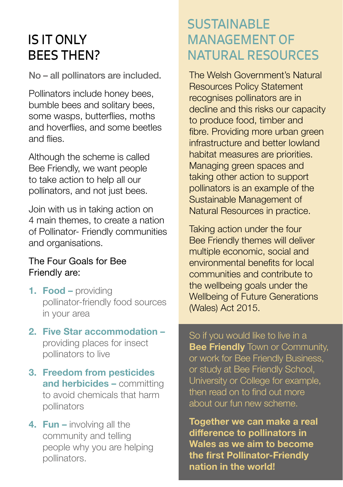# IS IT ONLY BEES THEN?

No – all pollinators are included.

Pollinators include honey bees, bumble bees and solitary bees, some wasps, butterflies, moths and hoverflies, and some beetles and flies.

Although the scheme is called Bee Friendly, we want people to take action to help all our pollinators, and not just bees.

Join with us in taking action on 4 main themes, to create a nation of Pollinator- Friendly communities and organisations.

#### The Four Goals for Bee Friendly are:

- **1. Food –** providing pollinator-friendly food sources in your area
- **2. Five Star accommodation –** providing places for insect pollinators to live
- **3. Freedom from pesticides and herbicides –** committing to avoid chemicals that harm pollinators
- **4. Fun –** involving all the community and telling people why you are helping pollinators.

## **SUSTAINABLE** MANAGEMENT OF NATURAL RESOURCES

The Welsh Government's Natural Resources Policy Statement recognises pollinators are in decline and this risks our capacity to produce food, timber and fibre. Providing more urban green infrastructure and better lowland habitat measures are priorities. Managing green spaces and taking other action to support pollinators is an example of the Sustainable Management of Natural Resources in practice.

Taking action under the four Bee Friendly themes will deliver multiple economic, social and environmental benefits for local communities and contribute to the wellbeing goals under the Wellbeing of Future Generations (Wales) Act 2015.

So if you would like to live in a **Bee Friendly** Town or Community, or work for Bee Friendly Business, or study at Bee Friendly School, University or College for example, then read on to find out more about our fun new scheme.

**Together we can make a real difference to pollinators in Wales as we aim to become the first Pollinator-Friendly nation in the world!**